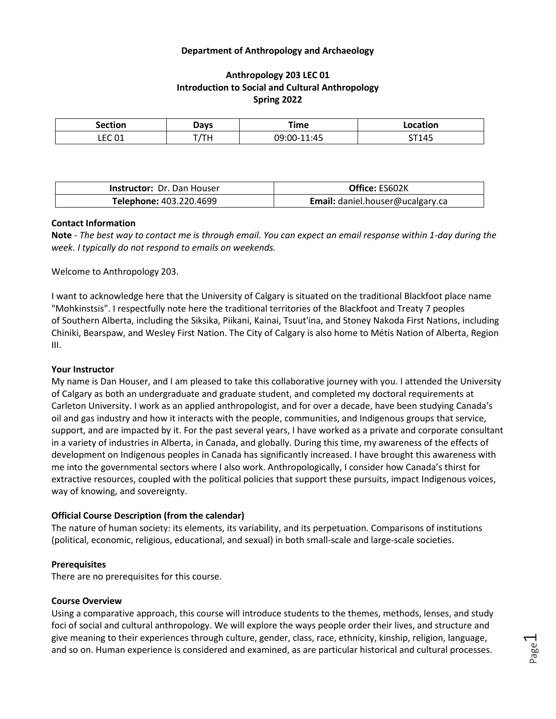## **Department of Anthropology and Archaeology**

# **Anthropology 203 LEC 01 Introduction to Social and Cultural Anthropology Spring 2022**

| Section                         | <b>Davs</b> | Time                    | .            |
|---------------------------------|-------------|-------------------------|--------------|
| $\sim$<br>FΓ<br>ㄴㄴㄴ ㄴㅗ<br>$  -$ | TН          | ۸ ۲<br>. IQ.<br>--- - - | 5T145<br>. . |

| <b>Instructor: Dr. Dan Houser</b> | Office: ES602K                   |  |
|-----------------------------------|----------------------------------|--|
| Telephone: 403.220.4699           | Email: daniel.houser@ucalgary.ca |  |

#### **Contact Information**

**Note** - *The best way to contact me is through email. You can expect an email response within 1-day during the week. I typically do not respond to emails on weekends.*

Welcome to Anthropology 203.

I want to acknowledge here that the University of Calgary is situated on the traditional Blackfoot place name "Mohkinstsis". I respectfully note here the traditional territories of the Blackfoot and Treaty 7 peoples of Southern Alberta, including the Siksika, Piikani, Kainai, Tsuut'ina, and Stoney Nakoda First Nations, including Chiniki, Bearspaw, and Wesley First Nation. The City of Calgary is also home to Métis Nation of Alberta, Region III.

#### **Your Instructor**

My name is Dan Houser, and I am pleased to take this collaborative journey with you. I attended the University of Calgary as both an undergraduate and graduate student, and completed my doctoral requirements at Carleton University. I work as an applied anthropologist, and for over a decade, have been studying Canada's oil and gas industry and how it interacts with the people, communities, and Indigenous groups that service, support, and are impacted by it. For the past several years, I have worked as a private and corporate consultant in a variety of industries in Alberta, in Canada, and globally. During this time, my awareness of the effects of development on Indigenous peoples in Canada has significantly increased. I have brought this awareness with me into the governmental sectors where I also work. Anthropologically, I consider how Canada's thirst for extractive resources, coupled with the political policies that support these pursuits, impact Indigenous voices, way of knowing, and sovereignty.

## **Official Course Description (from the calendar)**

The nature of human society: its elements, its variability, and its perpetuation. Comparisons of institutions (political, economic, religious, educational, and sexual) in both small-scale and large-scale societies.

## **Prerequisites**

There are no prerequisites for this course.

#### **Course Overview**

Using a comparative approach, this course will introduce students to the themes, methods, lenses, and study foci of social and cultural anthropology. We will explore the ways people order their lives, and structure and give meaning to their experiences through culture, gender, class, race, ethnicity, kinship, religion, language, and so on. Human experience is considered and examined, as are particular historical and cultural processes.

Page  $\overline{\phantom{0}}$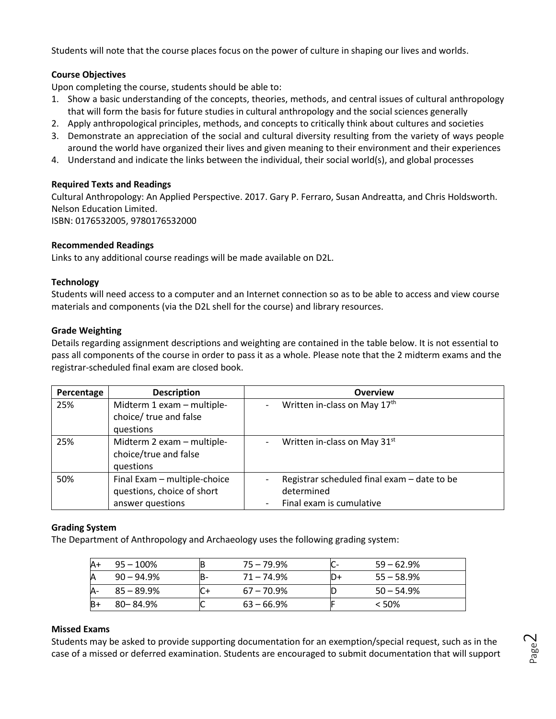Students will note that the course places focus on the power of culture in shaping our lives and worlds.

# **Course Objectives**

Upon completing the course, students should be able to:

- 1. Show a basic understanding of the concepts, theories, methods, and central issues of cultural anthropology that will form the basis for future studies in cultural anthropology and the social sciences generally
- 2. Apply anthropological principles, methods, and concepts to critically think about cultures and societies
- 3. Demonstrate an appreciation of the social and cultural diversity resulting from the variety of ways people around the world have organized their lives and given meaning to their environment and their experiences
- 4. Understand and indicate the links between the individual, their social world(s), and global processes

# **Required Texts and Readings**

Cultural Anthropology: An Applied Perspective. 2017. Gary P. Ferraro, Susan Andreatta, and Chris Holdsworth. Nelson Education Limited. ISBN: 0176532005, 9780176532000

## **Recommended Readings**

Links to any additional course readings will be made available on D2L.

## **Technology**

Students will need access to a computer and an Internet connection so as to be able to access and view course materials and components (via the D2L shell for the course) and library resources.

## **Grade Weighting**

Details regarding assignment descriptions and weighting are contained in the table below. It is not essential to pass all components of the course in order to pass it as a whole. Please note that the 2 midterm exams and the registrar-scheduled final exam are closed book.

| Percentage | <b>Description</b>           | <b>Overview</b>                                          |
|------------|------------------------------|----------------------------------------------------------|
| 25%        | Midterm 1 exam - multiple-   | Written in-class on May 17th<br>$\overline{\phantom{a}}$ |
|            | choice/ true and false       |                                                          |
|            | questions                    |                                                          |
| 25%        | Midterm 2 exam - multiple-   | Written in-class on May 31st                             |
|            | choice/true and false        |                                                          |
|            | questions                    |                                                          |
| 50%        | Final Exam - multiple-choice | Registrar scheduled final exam - date to be              |
|            | questions, choice of short   | determined                                               |
|            | answer questions             | Final exam is cumulative                                 |

## **Grading System**

The Department of Anthropology and Archaeology uses the following grading system:

| $\mathsf{A}^+$ | $95 - 100\%$  | B   | $75 - 79.9%$  |     | $59 - 62.9%$  |
|----------------|---------------|-----|---------------|-----|---------------|
| A              | $90 - 94.9\%$ | IB- | $71 - 74.9%$  | ID+ | $55 - 58.9%$  |
| IA-            | $85 - 89.9\%$ |     | $67 - 70.9%$  | ID  | $50 - 54.9\%$ |
| $B+$           | $80 - 84.9%$  | ∼   | $63 - 66.9\%$ |     | < 50%         |

## **Missed Exams**

Students may be asked to provide supporting documentation for an exemption/special request, such as in the case of a missed or deferred examination. Students are encouraged to submit documentation that will support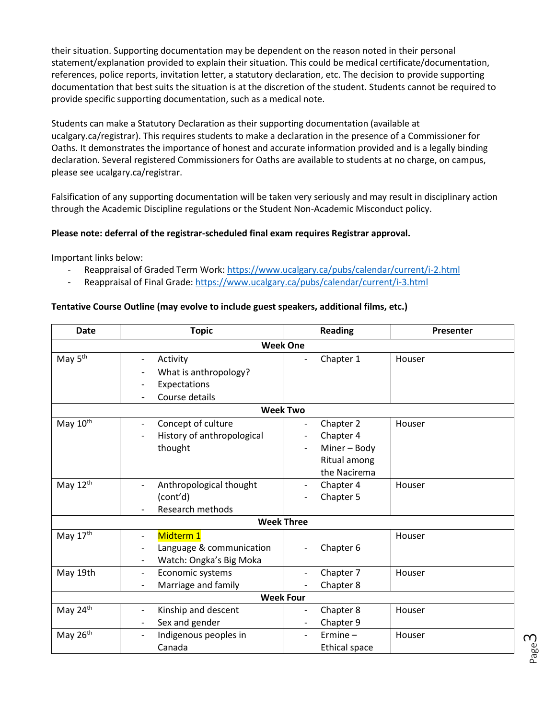their situation. Supporting documentation may be dependent on the reason noted in their personal statement/explanation provided to explain their situation. This could be medical certificate/documentation, references, police reports, invitation letter, a statutory declaration, etc. The decision to provide supporting documentation that best suits the situation is at the discretion of the student. Students cannot be required to provide specific supporting documentation, such as a medical note.

Students can make a Statutory Declaration as their supporting documentation (available at ucalgary.ca/registrar). This requires students to make a declaration in the presence of a Commissioner for Oaths. It demonstrates the importance of honest and accurate information provided and is a legally binding declaration. Several registered Commissioners for Oaths are available to students at no charge, on campus, please see ucalgary.ca/registrar.

Falsification of any supporting documentation will be taken very seriously and may result in disciplinary action through the Academic Discipline regulations or the Student Non-Academic Misconduct policy.

# **Please note: deferral of the registrar-scheduled final exam requires Registrar approval.**

Important links below:

- Reappraisal of Graded Term Work:<https://www.ucalgary.ca/pubs/calendar/current/i-2.html>
- Reappraisal of Final Grade:<https://www.ucalgary.ca/pubs/calendar/current/i-3.html>

## **Tentative Course Outline (may evolve to include guest speakers, additional films, etc.)**

| <b>Date</b>          | <b>Topic</b>                                                                                                             | <b>Reading</b>                                                         | Presenter |  |  |  |  |
|----------------------|--------------------------------------------------------------------------------------------------------------------------|------------------------------------------------------------------------|-----------|--|--|--|--|
| <b>Week One</b>      |                                                                                                                          |                                                                        |           |  |  |  |  |
| May 5 <sup>th</sup>  | Activity<br>What is anthropology?<br>Expectations<br>Course details                                                      | Chapter 1                                                              | Houser    |  |  |  |  |
| <b>Week Two</b>      |                                                                                                                          |                                                                        |           |  |  |  |  |
| May 10 <sup>th</sup> | Concept of culture<br>$\overline{\phantom{a}}$<br>History of anthropological<br>thought                                  | Chapter 2<br>Chapter 4<br>Miner - Body<br>Ritual among<br>the Nacirema | Houser    |  |  |  |  |
| May 12th             | Anthropological thought<br>(cont'd)<br>Research methods                                                                  | Chapter 4<br>Chapter 5                                                 | Houser    |  |  |  |  |
|                      | <b>Week Three</b>                                                                                                        |                                                                        |           |  |  |  |  |
| May 17th             | Midterm 1<br>$\overline{\phantom{a}}$<br>Language & communication<br>Watch: Ongka's Big Moka<br>$\overline{\phantom{a}}$ | Chapter 6                                                              | Houser    |  |  |  |  |
| May 19th             | Economic systems<br>$\overline{\phantom{a}}$<br>Marriage and family                                                      | Chapter 7<br>Chapter 8                                                 | Houser    |  |  |  |  |
| <b>Week Four</b>     |                                                                                                                          |                                                                        |           |  |  |  |  |
| May 24th             | Kinship and descent<br>Sex and gender<br>$\overline{\phantom{a}}$                                                        | Chapter 8<br>Chapter 9                                                 | Houser    |  |  |  |  |
| May 26th             | Indigenous peoples in<br>$\overline{\phantom{a}}$<br>Canada                                                              | $E$ rmine $-$<br><b>Ethical space</b>                                  | Houser    |  |  |  |  |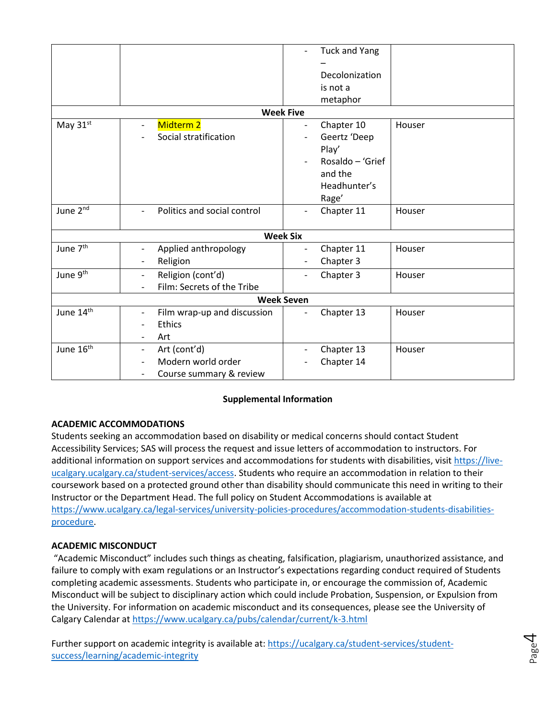|                       |                                                         | <b>Tuck and Yang</b>                   |        |  |  |  |
|-----------------------|---------------------------------------------------------|----------------------------------------|--------|--|--|--|
|                       |                                                         |                                        |        |  |  |  |
|                       |                                                         | Decolonization                         |        |  |  |  |
|                       |                                                         | is not a                               |        |  |  |  |
|                       |                                                         | metaphor                               |        |  |  |  |
| <b>Week Five</b>      |                                                         |                                        |        |  |  |  |
| May 31st              | Midterm 2<br>$\overline{\phantom{0}}$                   | Chapter 10<br>$\overline{\phantom{a}}$ | Houser |  |  |  |
|                       | Social stratification                                   | Geertz 'Deep                           |        |  |  |  |
|                       |                                                         | Play'                                  |        |  |  |  |
|                       |                                                         | Rosaldo - 'Grief                       |        |  |  |  |
|                       |                                                         | and the                                |        |  |  |  |
|                       |                                                         | Headhunter's                           |        |  |  |  |
|                       |                                                         | Rage'                                  |        |  |  |  |
| June 2nd              | Politics and social control<br>$\overline{\phantom{0}}$ | Chapter 11<br>$\overline{\phantom{a}}$ | Houser |  |  |  |
|                       |                                                         |                                        |        |  |  |  |
|                       |                                                         | <b>Week Six</b>                        |        |  |  |  |
| June 7 <sup>th</sup>  | Applied anthropology<br>$\overline{\phantom{a}}$        | Chapter 11                             | Houser |  |  |  |
|                       | Religion<br>$\overline{\phantom{a}}$                    | Chapter 3<br>$\overline{\phantom{a}}$  |        |  |  |  |
| June 9th              | Religion (cont'd)<br>$\overline{\phantom{a}}$           | Chapter 3<br>$\overline{\phantom{a}}$  | Houser |  |  |  |
|                       | Film: Secrets of the Tribe<br>$\overline{\phantom{a}}$  |                                        |        |  |  |  |
|                       |                                                         | <b>Week Seven</b>                      |        |  |  |  |
| June 14th             | Film wrap-up and discussion<br>$\overline{\phantom{a}}$ | Chapter 13<br>$\overline{\phantom{a}}$ | Houser |  |  |  |
|                       | <b>Ethics</b><br>$\qquad \qquad -$                      |                                        |        |  |  |  |
|                       | Art<br>$\qquad \qquad -$                                |                                        |        |  |  |  |
| June 16 <sup>th</sup> | Art (cont'd)<br>$\overline{\phantom{a}}$                | Chapter 13                             | Houser |  |  |  |
|                       | Modern world order                                      | Chapter 14                             |        |  |  |  |
|                       | Course summary & review<br>$\overline{\phantom{0}}$     |                                        |        |  |  |  |

# **Supplemental Information**

# **ACADEMIC ACCOMMODATIONS**

Students seeking an accommodation based on disability or medical concerns should contact Student Accessibility Services; SAS will process the request and issue letters of accommodation to instructors. For additional information on support services and accommodations for students with disabilities, visit [https://live](https://live-ucalgary.ucalgary.ca/student-services/access)[ucalgary.ucalgary.ca/student-services/access.](https://live-ucalgary.ucalgary.ca/student-services/access) Students who require an accommodation in relation to their coursework based on a protected ground other than disability should communicate this need in writing to their Instructor or the Department Head. The full policy on Student Accommodations is available at [https://www.ucalgary.ca/legal-services/university-policies-procedures/accommodation-students-disabilities](https://www.ucalgary.ca/legal-services/university-policies-procedures/accommodation-students-disabilities-procedure)[procedure.](https://www.ucalgary.ca/legal-services/university-policies-procedures/accommodation-students-disabilities-procedure)

## **ACADEMIC MISCONDUCT**

"Academic Misconduct" includes such things as cheating, falsification, plagiarism, unauthorized assistance, and failure to comply with exam regulations or an Instructor's expectations regarding conduct required of Students completing academic assessments. Students who participate in, or encourage the commission of, Academic Misconduct will be subject to disciplinary action which could include Probation, Suspension, or Expulsion from the University. For information on academic misconduct and its consequences, please see the University of Calgary Calendar at<https://www.ucalgary.ca/pubs/calendar/current/k-3.html>

Further support on academic integrity is available at: [https://ucalgary.ca/student-services/student](https://ucalgary.ca/student-services/student-success/learning/academic-integrity)[success/learning/academic-integrity](https://ucalgary.ca/student-services/student-success/learning/academic-integrity)